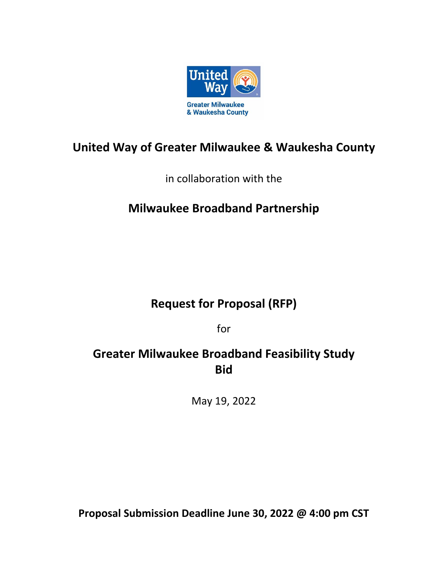

# **United Way of Greater Milwaukee & Waukesha County**

in collaboration with the

# **Milwaukee Broadband Partnership**

# **Request for Proposal (RFP)**

for

# **Greater Milwaukee Broadband Feasibility Study Bid**

May 19, 2022

**Proposal Submission Deadline June 30, 2022 @ 4:00 pm CST**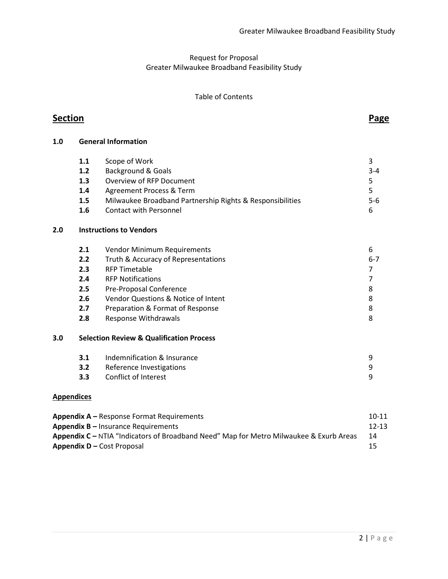### Request for Proposal Greater Milwaukee Broadband Feasibility Study

#### Table of Contents

# **Section Page**

**1.0 General Information**

|     | 1.1                                                 | Scope of Work                                             | 3            |  |  |  |  |
|-----|-----------------------------------------------------|-----------------------------------------------------------|--------------|--|--|--|--|
|     | 1.2                                                 | <b>Background &amp; Goals</b>                             | $3 - 4$<br>5 |  |  |  |  |
|     | 1.3                                                 | Overview of RFP Document                                  |              |  |  |  |  |
|     | 1.4                                                 | Agreement Process & Term                                  | 5            |  |  |  |  |
|     | 1.5                                                 | Milwaukee Broadband Partnership Rights & Responsibilities |              |  |  |  |  |
|     | 1.6                                                 | <b>Contact with Personnel</b>                             | 6            |  |  |  |  |
| 2.0 |                                                     | <b>Instructions to Vendors</b>                            |              |  |  |  |  |
|     | 2.1                                                 | Vendor Minimum Requirements                               | 6            |  |  |  |  |
|     | 2.2                                                 | Truth & Accuracy of Representations                       | $6-7$        |  |  |  |  |
|     | 2.3                                                 | <b>RFP Timetable</b>                                      | 7            |  |  |  |  |
|     | 2.4                                                 | <b>RFP Notifications</b>                                  | 7            |  |  |  |  |
|     | 2.5                                                 | Pre-Proposal Conference                                   | 8            |  |  |  |  |
|     | 2.6                                                 | Vendor Questions & Notice of Intent                       | 8            |  |  |  |  |
|     | 2.7                                                 | Preparation & Format of Response                          | 8            |  |  |  |  |
|     | 2.8                                                 | Response Withdrawals                                      | 8            |  |  |  |  |
| 3.0 | <b>Selection Review &amp; Qualification Process</b> |                                                           |              |  |  |  |  |
|     | 3.1                                                 | Indemnification & Insurance                               | 9            |  |  |  |  |
|     | 3.2                                                 | Reference Investigations                                  | 9            |  |  |  |  |
|     | 3.3                                                 | <b>Conflict of Interest</b>                               | 9            |  |  |  |  |

#### **Appendices**

| <b>Appendix A</b> – Response Format Requirements                                       | 10-11     |
|----------------------------------------------------------------------------------------|-----------|
| <b>Appendix B</b> $-$ Insurance Requirements                                           | $12 - 13$ |
| Appendix C – NTIA "Indicators of Broadband Need" Map for Metro Milwaukee & Exurb Areas | 14        |
| <b>Appendix D</b> – Cost Proposal                                                      | -15       |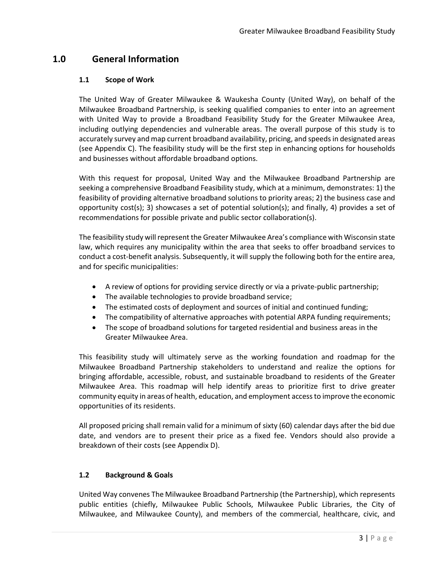## **1.0 General Information**

#### **1.1 Scope of Work**

The United Way of Greater Milwaukee & Waukesha County (United Way), on behalf of the Milwaukee Broadband Partnership, is seeking qualified companies to enter into an agreement with United Way to provide a Broadband Feasibility Study for the Greater Milwaukee Area, including outlying dependencies and vulnerable areas. The overall purpose of this study is to accurately survey and map current broadband availability, pricing, and speeds in designated areas (see Appendix C). The feasibility study will be the first step in enhancing options for households and businesses without affordable broadband options.

With this request for proposal, United Way and the Milwaukee Broadband Partnership are seeking a comprehensive Broadband Feasibility study, which at a minimum, demonstrates: 1) the feasibility of providing alternative broadband solutions to priority areas; 2) the business case and opportunity cost(s); 3) showcases a set of potential solution(s); and finally, 4) provides a set of recommendations for possible private and public sector collaboration(s).

The feasibility study will represent the Greater Milwaukee Area's compliance with Wisconsin state law, which requires any municipality within the area that seeks to offer broadband services to conduct a cost-benefit analysis. Subsequently, it will supply the following both for the entire area, and for specific municipalities:

- A review of options for providing service directly or via a private-public partnership;
- The available technologies to provide broadband service;
- The estimated costs of deployment and sources of initial and continued funding;
- The compatibility of alternative approaches with potential ARPA funding requirements;
- The scope of broadband solutions for targeted residential and business areas in the Greater Milwaukee Area.

This feasibility study will ultimately serve as the working foundation and roadmap for the Milwaukee Broadband Partnership stakeholders to understand and realize the options for bringing affordable, accessible, robust, and sustainable broadband to residents of the Greater Milwaukee Area. This roadmap will help identify areas to prioritize first to drive greater community equity in areas of health, education, and employment access to improve the economic opportunities of its residents.

All proposed pricing shall remain valid for a minimum of sixty (60) calendar days after the bid due date, and vendors are to present their price as a fixed fee. Vendors should also provide a breakdown of their costs (see Appendix D).

#### **1.2 Background & Goals**

United Way convenes The Milwaukee Broadband Partnership (the Partnership), which represents public entities (chiefly, Milwaukee Public Schools, Milwaukee Public Libraries, the City of Milwaukee, and Milwaukee County), and members of the commercial, healthcare, civic, and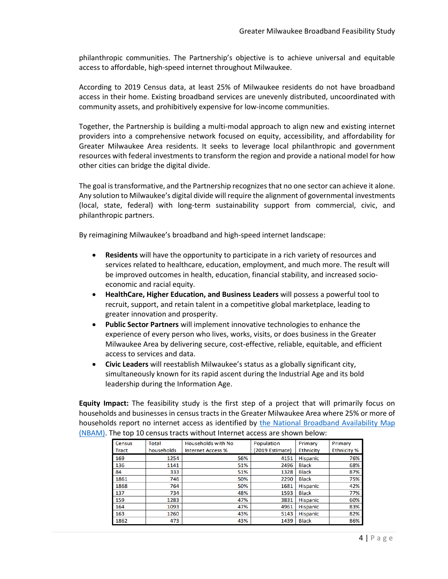philanthropic communities. The Partnership's objective is to achieve universal and equitable access to affordable, high-speed internet throughout Milwaukee.

According to 2019 Census data, at least 25% of Milwaukee residents do not have broadband access in their home. Existing broadband services are unevenly distributed, uncoordinated with community assets, and prohibitively expensive for low-income communities.

Together, the Partnership is building a multi-modal approach to align new and existing internet providers into a comprehensive network focused on equity, accessibility, and affordability for Greater Milwaukee Area residents. It seeks to leverage local philanthropic and government resources with federal investments to transform the region and provide a national model for how other cities can bridge the digital divide.

The goal is transformative, and the Partnership recognizesthat no one sector can achieve it alone. Any solution to Milwaukee's digital divide will require the alignment of governmental investments (local, state, federal) with long-term sustainability support from commercial, civic, and philanthropic partners.

By reimagining Milwaukee's broadband and high-speed internet landscape:

- **Residents** will have the opportunity to participate in a rich variety of resources and services related to healthcare, education, employment, and much more. The result will be improved outcomes in health, education, financial stability, and increased socioeconomic and racial equity.
- **HealthCare, Higher Education, and Business Leaders** will possess a powerful tool to recruit, support, and retain talent in a competitive global marketplace, leading to greater innovation and prosperity.
- **Public Sector Partners** will implement innovative technologies to enhance the experience of every person who lives, works, visits, or does business in the Greater Milwaukee Area by delivering secure, cost-effective, reliable, equitable, and efficient access to services and data.
- **Civic Leaders** will reestablish Milwaukee's status as a globally significant city, simultaneously known for its rapid ascent during the Industrial Age and its bold leadership during the Information Age.

**Equity Impact:** The feasibility study is the first step of a project that will primarily focus on households and businesses in census tracts in the Greater Milwaukee Area where 25% or more of households report no internet access as identified by [the National Broadband Availability Map](https://broadbandusa.ntia.doc.gov/resources/data-and-mapping)  [\(NBAM\).](https://broadbandusa.ntia.doc.gov/resources/data-and-mapping) The top 10 census tracts without Internet access are shown below:

| <b>Census</b> | <b>Total</b> | <b>Households with No</b> | Population      | Primary          | Primary            |
|---------------|--------------|---------------------------|-----------------|------------------|--------------------|
| Tract         | households   | <b>Internet Access %</b>  | (2019 Estimate) | <b>Ethnicity</b> | <b>Ethnicity %</b> |
| 169           | 1254         | 56%                       | 4151            | <b>Hispanic</b>  | 76%                |
| 136           | 1141         | 51%                       | 2496            | <b>Black</b>     | 68%                |
| 84            | 333          | 51%                       | 1328            | <b>Black</b>     | 87%                |
| 1861          | 746          | 50%                       | 2290            | <b>Black</b>     | 75%                |
| 1868          | 764          | 50%                       | 1681            | <b>Hispanic</b>  | 42%                |
| 137           | 734          | 48%                       | 1593            | <b>Black</b>     | 77%                |
| 159           | 1283         | 47%                       | 3831            | <b>Hispanic</b>  | 60%                |
| 164           | 1093         | 47%                       | 4961            | <b>Hispanic</b>  | 83%                |
| 163           | 1260         | 43%                       | 5143            | <b>Hispanic</b>  | 82%                |
| 1862          | 473          | 43%                       | 1439            | <b>Black</b>     | 86%                |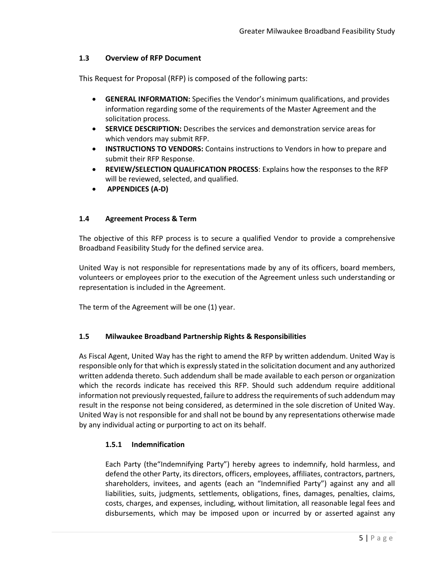#### **1.3 Overview of RFP Document**

This Request for Proposal (RFP) is composed of the following parts:

- **GENERAL INFORMATION:** Specifies the Vendor's minimum qualifications, and provides information regarding some of the requirements of the Master Agreement and the solicitation process.
- **SERVICE DESCRIPTION:** Describes the services and demonstration service areas for which vendors may submit RFP.
- **INSTRUCTIONS TO VENDORS:** Contains instructions to Vendors in how to prepare and submit their RFP Response.
- **REVIEW/SELECTION QUALIFICATION PROCESS**: Explains how the responses to the RFP will be reviewed, selected, and qualified.
- **APPENDICES (A-D)**

#### **1.4 Agreement Process & Term**

The objective of this RFP process is to secure a qualified Vendor to provide a comprehensive Broadband Feasibility Study for the defined service area.

United Way is not responsible for representations made by any of its officers, board members, volunteers or employees prior to the execution of the Agreement unless such understanding or representation is included in the Agreement.

The term of the Agreement will be one (1) year.

#### **1.5 Milwaukee Broadband Partnership Rights & Responsibilities**

As Fiscal Agent, United Way has the right to amend the RFP by written addendum. United Way is responsible only for that which is expressly stated in the solicitation document and any authorized written addenda thereto. Such addendum shall be made available to each person or organization which the records indicate has received this RFP. Should such addendum require additional information not previously requested, failure to address the requirements of such addendum may result in the response not being considered, as determined in the sole discretion of United Way. United Way is not responsible for and shall not be bound by any representations otherwise made by any individual acting or purporting to act on its behalf.

#### **1.5.1 Indemnification**

Each Party (the"Indemnifying Party") hereby agrees to indemnify, hold harmless, and defend the other Party, its directors, officers, employees, affiliates, contractors, partners, shareholders, invitees, and agents (each an "Indemnified Party") against any and all liabilities, suits, judgments, settlements, obligations, fines, damages, penalties, claims, costs, charges, and expenses, including, without limitation, all reasonable legal fees and disbursements, which may be imposed upon or incurred by or asserted against any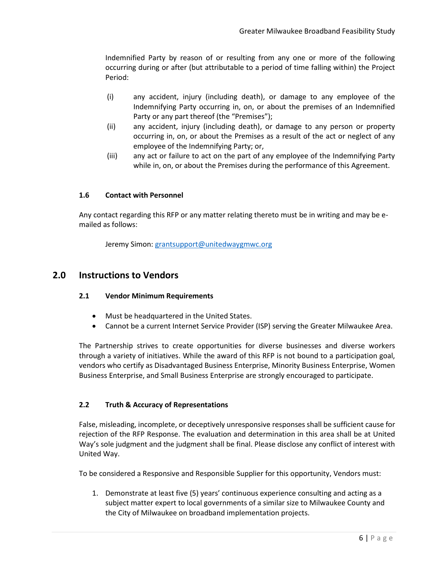Indemnified Party by reason of or resulting from any one or more of the following occurring during or after (but attributable to a period of time falling within) the Project Period:

- (i) any accident, injury (including death), or damage to any employee of the Indemnifying Party occurring in, on, or about the premises of an Indemnified Party or any part thereof (the "Premises");
- (ii) any accident, injury (including death), or damage to any person or property occurring in, on, or about the Premises as a result of the act or neglect of any employee of the Indemnifying Party; or,
- (iii) any act or failure to act on the part of any employee of the Indemnifying Party while in, on, or about the Premises during the performance of this Agreement.

#### **1.6 Contact with Personnel**

Any contact regarding this RFP or any matter relating thereto must be in writing and may be emailed as follows:

Jeremy Simon: [grantsupport@unitedwaygmwc.org](mailto:grantsupport@unitedwaygmwc.org)

### **2.0 Instructions to Vendors**

#### **2.1 Vendor Minimum Requirements**

- Must be headquartered in the United States.
- Cannot be a current Internet Service Provider (ISP) serving the Greater Milwaukee Area.

The Partnership strives to create opportunities for diverse businesses and diverse workers through a variety of initiatives. While the award of this RFP is not bound to a participation goal, vendors who certify as Disadvantaged Business Enterprise, Minority Business Enterprise, Women Business Enterprise, and Small Business Enterprise are strongly encouraged to participate.

#### **2.2 Truth & Accuracy of Representations**

False, misleading, incomplete, or deceptively unresponsive responses shall be sufficient cause for rejection of the RFP Response. The evaluation and determination in this area shall be at United Way's sole judgment and the judgment shall be final. Please disclose any conflict of interest with United Way.

To be considered a Responsive and Responsible Supplier for this opportunity, Vendors must:

1. Demonstrate at least five (5) years' continuous experience consulting and acting as a subject matter expert to local governments of a similar size to Milwaukee County and the City of Milwaukee on broadband implementation projects.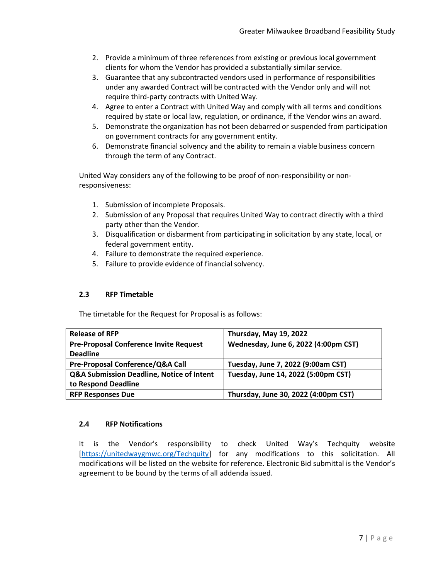- 2. Provide a minimum of three references from existing or previous local government clients for whom the Vendor has provided a substantially similar service.
- 3. Guarantee that any subcontracted vendors used in performance of responsibilities under any awarded Contract will be contracted with the Vendor only and will not require third-party contracts with United Way.
- 4. Agree to enter a Contract with United Way and comply with all terms and conditions required by state or local law, regulation, or ordinance, if the Vendor wins an award.
- 5. Demonstrate the organization has not been debarred or suspended from participation on government contracts for any government entity.
- 6. Demonstrate financial solvency and the ability to remain a viable business concern through the term of any Contract.

United Way considers any of the following to be proof of non-responsibility or nonresponsiveness:

- 1. Submission of incomplete Proposals.
- 2. Submission of any Proposal that requires United Way to contract directly with a third party other than the Vendor.
- 3. Disqualification or disbarment from participating in solicitation by any state, local, or federal government entity.
- 4. Failure to demonstrate the required experience.
- 5. Failure to provide evidence of financial solvency.

#### **2.3 RFP Timetable**

The timetable for the Request for Proposal is as follows:

| <b>Release of RFP</b>                                | Thursday, May 19, 2022               |  |  |
|------------------------------------------------------|--------------------------------------|--|--|
| <b>Pre-Proposal Conference Invite Request</b>        | Wednesday, June 6, 2022 (4:00pm CST) |  |  |
| <b>Deadline</b>                                      |                                      |  |  |
| Pre-Proposal Conference/Q&A Call                     | Tuesday, June 7, 2022 (9:00am CST)   |  |  |
| <b>Q&amp;A Submission Deadline, Notice of Intent</b> | Tuesday, June 14, 2022 (5:00pm CST)  |  |  |
| to Respond Deadline                                  |                                      |  |  |
| <b>RFP Responses Due</b>                             | Thursday, June 30, 2022 (4:00pm CST) |  |  |

#### **2.4 RFP Notifications**

It is the Vendor's responsibility to check United Way's Techquity website [\[https://unitedwaygmwc.org/Techquity\]](https://unitedwaygmwc.org/Techquity) for any modifications to this solicitation. All modifications will be listed on the website for reference. Electronic Bid submittal is the Vendor's agreement to be bound by the terms of all addenda issued.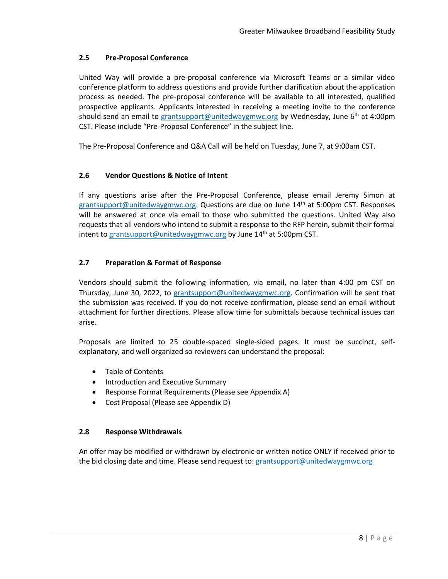#### **2.5 Pre-Proposal Conference**

United Way will provide a pre-proposal conference via Microsoft Teams or a similar video conference platform to address questions and provide further clarification about the application process as needed. The pre-proposal conference will be available to all interested, qualified prospective applicants. Applicants interested in receiving a meeting invite to the conference should send an email to [grantsupport@unitedwaygmwc.org](mailto:grantsupport@unitedwaygmwc.org) by Wednesday, June 6<sup>th</sup> at 4:00pm CST. Please include "Pre-Proposal Conference" in the subject line.

The Pre-Proposal Conference and Q&A Call will be held on Tuesday, June 7, at 9:00am CST.

#### **2.6 Vendor Questions & Notice of Intent**

If any questions arise after the Pre-Proposal Conference, please email Jeremy Simon at [grantsupport@unitedwaygmwc.org.](mailto:grantsupport@unitedwaygmwc.org) Questions are due on June 14<sup>th</sup> at 5:00pm CST. Responses will be answered at once via email to those who submitted the questions. United Way also requests that all vendors who intend to submit a response to the RFP herein, submit their formal intent to [grantsupport@unitedwaygmwc.org](mailto:grantsupport@unitedwaygmwc.org) by June  $14<sup>th</sup>$  at 5:00pm CST.

#### **2.7 Preparation & Format of Response**

Vendors should submit the following information, via email, no later than 4:00 pm CST on Thursday, June 30, 2022, to [grantsupport@unitedwaygmwc.org](mailto:grantsupport@unitedwaygmwc.org)[.](mailto:placeholder@abc123.com) Confirmation will be sent that the submission was received. If you do not receive confirmation, please send an email without attachment for further directions. Please allow time for submittals because technical issues can arise.

Proposals are limited to 25 double-spaced single-sided pages. It must be succinct, selfexplanatory, and well organized so reviewers can understand the proposal:

- Table of Contents
- Introduction and Executive Summary
- Response Format Requirements (Please see Appendix A)
- Cost Proposal (Please see Appendix D)

#### **2.8 Response Withdrawals**

An offer may be modified or withdrawn by electronic or written notice ONLY if received prior to the bid closing date and time. Please send request to: [grantsupport@unitedwaygmwc.org](mailto:grantsupport@unitedwaygmwc.org)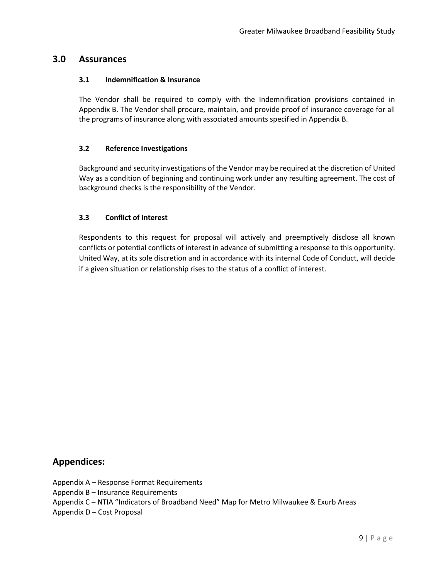### **3.0 Assurances**

#### **3.1 Indemnification & Insurance**

The Vendor shall be required to comply with the Indemnification provisions contained in Appendix B. The Vendor shall procure, maintain, and provide proof of insurance coverage for all the programs of insurance along with associated amounts specified in Appendix B.

#### **3.2 Reference Investigations**

Background and security investigations of the Vendor may be required at the discretion of United Way as a condition of beginning and continuing work under any resulting agreement. The cost of background checks is the responsibility of the Vendor.

#### **3.3 Conflict of Interest**

Respondents to this request for proposal will actively and preemptively disclose all known conflicts or potential conflicts of interest in advance of submitting a response to this opportunity. United Way, at its sole discretion and in accordance with its internal Code of Conduct, will decide if a given situation or relationship rises to the status of a conflict of interest.

### **Appendices:**

- Appendix A Response Format Requirements
- Appendix B Insurance Requirements

Appendix C – NTIA "Indicators of Broadband Need" Map for Metro Milwaukee & Exurb Areas

Appendix D – Cost Proposal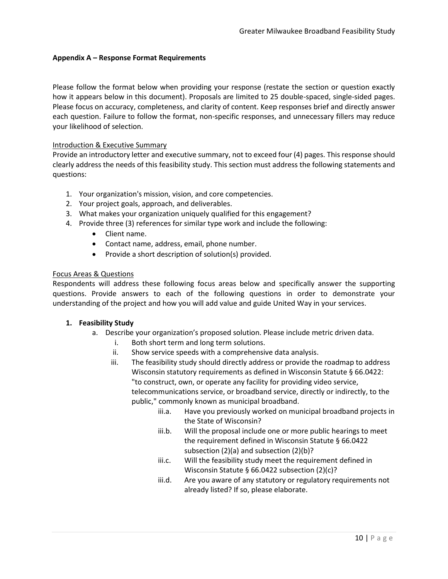#### **Appendix A – Response Format Requirements**

Please follow the format below when providing your response (restate the section or question exactly how it appears below in this document). Proposals are limited to 25 double-spaced, single-sided pages. Please focus on accuracy, completeness, and clarity of content. Keep responses brief and directly answer each question. Failure to follow the format, non-specific responses, and unnecessary fillers may reduce your likelihood of selection.

#### Introduction & Executive Summary

Provide an introductory letter and executive summary, not to exceed four (4) pages. This response should clearly address the needs of this feasibility study. This section must address the following statements and questions:

- 1. Your organization's mission, vision, and core competencies.
- 2. Your project goals, approach, and deliverables.
- 3. What makes your organization uniquely qualified for this engagement?
- 4. Provide three (3) references for similar type work and include the following:
	- Client name.
	- Contact name, address, email, phone number.
	- Provide a short description of solution(s) provided.

#### Focus Areas & Questions

Respondents will address these following focus areas below and specifically answer the supporting questions. Provide answers to each of the following questions in order to demonstrate your understanding of the project and how you will add value and guide United Way in your services.

#### **1. Feasibility Study**

- a. Describe your organization's proposed solution. Please include metric driven data.
	- i. Both short term and long term solutions.
	- ii. Show service speeds with a comprehensive data analysis.
	- iii. The feasibility study should directly address or provide the roadmap to address Wisconsin statutory requirements as defined in Wisconsin Statute § 66.0422: "to construct, own, or operate any facility for providing video service, telecommunications service, or broadband service, directly or indirectly, to the public," commonly known as municipal broadband.
		- iii.a. Have you previously worked on municipal broadband projects in the State of Wisconsin?
		- iii.b. Will the proposal include one or more public hearings to meet the requirement defined in Wisconsin Statute § 66.0422 subsection (2)(a) and subsection (2)(b)?
		- iii.c. Will the feasibility study meet the requirement defined in Wisconsin Statute § 66.0422 subsection (2)(c)?
		- iii.d. Are you aware of any statutory or regulatory requirements not already listed? If so, please elaborate.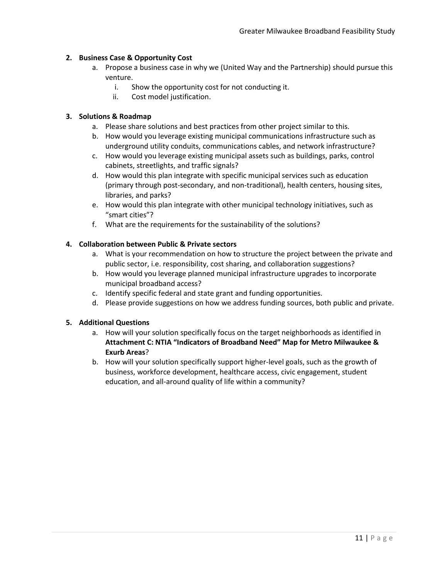#### **2. Business Case & Opportunity Cost**

- a. Propose a business case in why we (United Way and the Partnership) should pursue this venture.
	- i. Show the opportunity cost for not conducting it.
	- ii. Cost model justification.

#### **3. Solutions & Roadmap**

- a. Please share solutions and best practices from other project similar to this.
- b. How would you leverage existing municipal communications infrastructure such as underground utility conduits, communications cables, and network infrastructure?
- c. How would you leverage existing municipal assets such as buildings, parks, control cabinets, streetlights, and traffic signals?
- d. How would this plan integrate with specific municipal services such as education (primary through post-secondary, and non-traditional), health centers, housing sites, libraries, and parks?
- e. How would this plan integrate with other municipal technology initiatives, such as "smart cities"?
- f. What are the requirements for the sustainability of the solutions?

#### **4. Collaboration between Public & Private sectors**

- a. What is your recommendation on how to structure the project between the private and public sector, i.e. responsibility, cost sharing, and collaboration suggestions?
- b. How would you leverage planned municipal infrastructure upgrades to incorporate municipal broadband access?
- c. Identify specific federal and state grant and funding opportunities.
- d. Please provide suggestions on how we address funding sources, both public and private.

#### **5. Additional Questions**

- a. How will your solution specifically focus on the target neighborhoods as identified in **Attachment C: NTIA "Indicators of Broadband Need" Map for Metro Milwaukee & Exurb Areas**?
- b. How will your solution specifically support higher-level goals, such as the growth of business, workforce development, healthcare access, civic engagement, student education, and all-around quality of life within a community?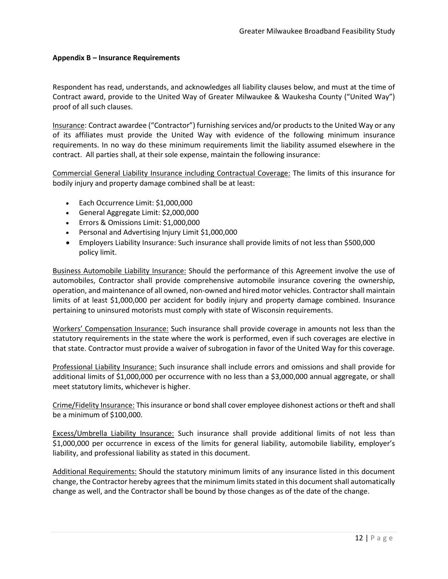#### **Appendix B – Insurance Requirements**

Respondent has read, understands, and acknowledges all liability clauses below, and must at the time of Contract award, provide to the United Way of Greater Milwaukee & Waukesha County ("United Way") proof of all such clauses.

Insurance: Contract awardee ("Contractor") furnishing services and/or products to the United Way or any of its affiliates must provide the United Way with evidence of the following minimum insurance requirements. In no way do these minimum requirements limit the liability assumed elsewhere in the contract. All parties shall, at their sole expense, maintain the following insurance:

Commercial General Liability Insurance including Contractual Coverage: The limits of this insurance for bodily injury and property damage combined shall be at least:

- Each Occurrence Limit: \$1,000,000
- General Aggregate Limit: \$2,000,000
- Errors & Omissions Limit: \$1,000,000
- Personal and Advertising Injury Limit \$1,000,000
- Employers Liability Insurance: Such insurance shall provide limits of not less than \$500,000 policy limit.

Business Automobile Liability Insurance: Should the performance of this Agreement involve the use of automobiles, Contractor shall provide comprehensive automobile insurance covering the ownership, operation, and maintenance of all owned, non-owned and hired motor vehicles. Contractor shall maintain limits of at least \$1,000,000 per accident for bodily injury and property damage combined. Insurance pertaining to uninsured motorists must comply with state of Wisconsin requirements.

Workers' Compensation Insurance: Such insurance shall provide coverage in amounts not less than the statutory requirements in the state where the work is performed, even if such coverages are elective in that state. Contractor must provide a waiver of subrogation in favor of the United Way for this coverage.

Professional Liability Insurance: Such insurance shall include errors and omissions and shall provide for additional limits of \$1,000,000 per occurrence with no less than a \$3,000,000 annual aggregate, or shall meet statutory limits, whichever is higher.

Crime/Fidelity Insurance: This insurance or bond shall cover employee dishonest actions or theft and shall be a minimum of \$100,000.

Excess/Umbrella Liability Insurance: Such insurance shall provide additional limits of not less than \$1,000,000 per occurrence in excess of the limits for general liability, automobile liability, employer's liability, and professional liability as stated in this document.

Additional Requirements: Should the statutory minimum limits of any insurance listed in this document change, the Contractor hereby agrees that the minimum limits stated in this document shall automatically change as well, and the Contractor shall be bound by those changes as of the date of the change.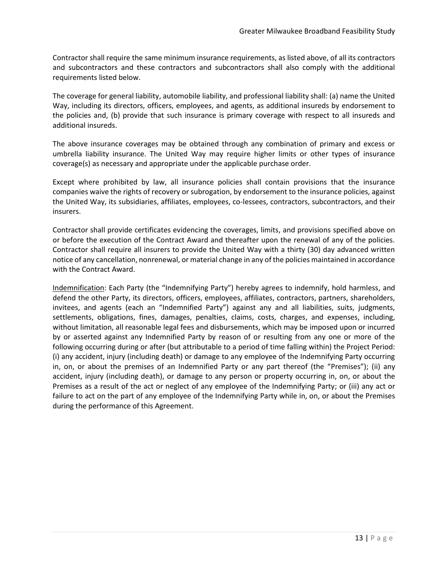Contractor shall require the same minimum insurance requirements, as listed above, of all its contractors and subcontractors and these contractors and subcontractors shall also comply with the additional requirements listed below.

The coverage for general liability, automobile liability, and professional liability shall: (a) name the United Way, including its directors, officers, employees, and agents, as additional insureds by endorsement to the policies and, (b) provide that such insurance is primary coverage with respect to all insureds and additional insureds.

The above insurance coverages may be obtained through any combination of primary and excess or umbrella liability insurance. The United Way may require higher limits or other types of insurance coverage(s) as necessary and appropriate under the applicable purchase order.

Except where prohibited by law, all insurance policies shall contain provisions that the insurance companies waive the rights of recovery or subrogation, by endorsement to the insurance policies, against the United Way, its subsidiaries, affiliates, employees, co-lessees, contractors, subcontractors, and their insurers.

Contractor shall provide certificates evidencing the coverages, limits, and provisions specified above on or before the execution of the Contract Award and thereafter upon the renewal of any of the policies. Contractor shall require all insurers to provide the United Way with a thirty (30) day advanced written notice of any cancellation, nonrenewal, or material change in any of the policies maintained in accordance with the Contract Award.

Indemnification: Each Party (the "Indemnifying Party") hereby agrees to indemnify, hold harmless, and defend the other Party, its directors, officers, employees, affiliates, contractors, partners, shareholders, invitees, and agents (each an "Indemnified Party") against any and all liabilities, suits, judgments, settlements, obligations, fines, damages, penalties, claims, costs, charges, and expenses, including, without limitation, all reasonable legal fees and disbursements, which may be imposed upon or incurred by or asserted against any Indemnified Party by reason of or resulting from any one or more of the following occurring during or after (but attributable to a period of time falling within) the Project Period: (i) any accident, injury (including death) or damage to any employee of the Indemnifying Party occurring in, on, or about the premises of an Indemnified Party or any part thereof (the "Premises"); (ii) any accident, injury (including death), or damage to any person or property occurring in, on, or about the Premises as a result of the act or neglect of any employee of the Indemnifying Party; or (iii) any act or failure to act on the part of any employee of the Indemnifying Party while in, on, or about the Premises during the performance of this Agreement.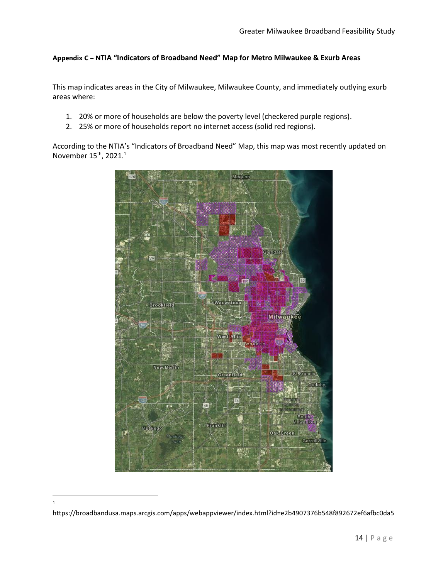#### **Appendix C – NTIA "Indicators of Broadband Need" Map for Metro Milwaukee & Exurb Areas**

This map indicates areas in the City of Milwaukee, Milwaukee County, and immediately outlying exurb areas where:

- 1. 20% or more of households are below the poverty level (checkered purple regions).
- 2. 25% or more of households report no internet access (solid red regions).

According to the NTIA's "Indicators of Broadband Need" Map, this map was most recently updated on November 15<sup>th</sup>, 2021.<sup>1</sup>



<sup>1</sup>

https://broadbandusa.maps.arcgis.com/apps/webappviewer/index.html?id=e2b4907376b548f892672ef6afbc0da5